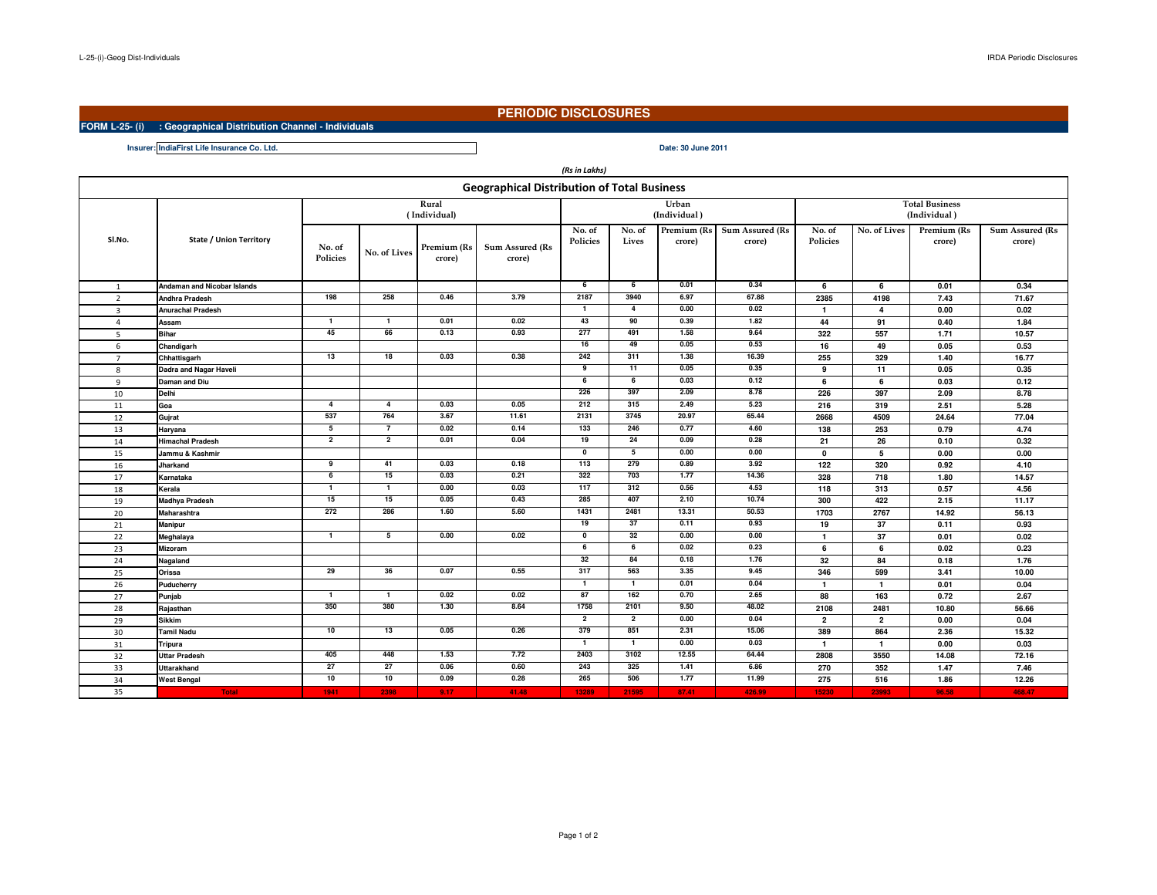## **PERIODIC DISCLOSURES**

**FORM L-25- (i) : Geographical Distribution Channel - Individuals**

**Insurer: Date: 30 June 2011IndiaFirst Life Insurance Co. Ltd.**

| (Rs in Lakhs)                                      |                                |                    |                 |                       |                           |                         |                 |                                       |                           |                           |                          |                       |                           |
|----------------------------------------------------|--------------------------------|--------------------|-----------------|-----------------------|---------------------------|-------------------------|-----------------|---------------------------------------|---------------------------|---------------------------|--------------------------|-----------------------|---------------------------|
| <b>Geographical Distribution of Total Business</b> |                                |                    |                 |                       |                           |                         |                 |                                       |                           |                           |                          |                       |                           |
|                                                    | <b>State / Union Territory</b> |                    |                 |                       |                           | Urban<br>(Individual)   |                 | <b>Total Business</b><br>(Individual) |                           |                           |                          |                       |                           |
| SI.No.                                             |                                | No. of<br>Policies | No. of Lives    | Premium (Rs<br>crore) | Sum Assured (Rs<br>crore) | No. of<br>Policies      | No. of<br>Lives | Premium (Rs<br>crore)                 | Sum Assured (Rs<br>crore) | No. of<br><b>Policies</b> | No. of Lives             | Premium (Rs<br>crore) | Sum Assured (Rs<br>crore) |
| $\overline{1}$                                     | Andaman and Nicobar Islands    |                    |                 |                       |                           | 6                       | 6               | 0.01                                  | 0.34                      | 6                         | 6                        | 0.01                  | 0.34                      |
| $\overline{2}$                                     | <b>Andhra Pradesh</b>          | 198                | 258             | 0.46                  | 3.79                      | 2187                    | 3940            | 6.97                                  | 67.88                     | 2385                      | 4198                     | 7.43                  | 71.67                     |
| $\mathbf{3}$                                       | Anurachal Pradesh              |                    |                 |                       |                           | $\overline{\mathbf{1}}$ | $\overline{4}$  | 0.00                                  | 0.02                      | $\mathbf{1}$              | $\overline{4}$           | 0.00                  | 0.02                      |
| $\overline{4}$                                     | Assam                          | 1                  | $\mathbf{1}$    | 0.01                  | 0.02                      | 43                      | 90              | 0.39                                  | 1.82                      | 44                        | 91                       | 0.40                  | 1.84                      |
| 5                                                  | <b>Bihar</b>                   | 45                 | 66              | 0.13                  | 0.93                      | 277                     | 491             | 1.58                                  | 9.64                      | 322                       | 557                      | 1.71                  | 10.57                     |
| 6                                                  | Chandigarh                     |                    |                 |                       |                           | 16                      | 49              | 0.05                                  | 0.53                      | 16                        | 49                       | 0.05                  | 0.53                      |
| $\overline{7}$                                     | Chhattisgarh                   | 13                 | 18              | 0.03                  | 0.38                      | 242                     | 311             | 1.38                                  | 16.39                     | 255                       | 329                      | 1.40                  | 16.77                     |
| 8                                                  | Dadra and Nagar Haveli         |                    |                 |                       |                           | 9                       | 11              | 0.05                                  | 0.35                      | 9                         | 11                       | 0.05                  | 0.35                      |
| $\mathbf{q}$                                       | Daman and Diu                  |                    |                 |                       |                           | 6                       | $\overline{6}$  | 0.03                                  | 0.12                      | 6                         | 6                        | 0.03                  | 0.12                      |
| 10                                                 | Delhi                          |                    |                 |                       |                           | 226                     | 397             | 2.09                                  | 8.78                      | 226                       | 397                      | 2.09                  | 8.78                      |
| 11                                                 | Goa                            | 4                  | $\overline{4}$  | 0.03                  | 0.05                      | 212                     | 315             | 2.49                                  | 5.23                      | 216                       | 319                      | 2.51                  | 5.28                      |
| 12                                                 | Gujrat                         | 537                | 764             | 3.67                  | 11.61                     | 2131                    | 3745            | 20.97                                 | 65.44                     | 2668                      | 4509                     | 24.64                 | 77.04                     |
| 13                                                 | Haryana                        | 5                  | $\overline{7}$  | 0.02                  | 0.14                      | 133                     | 246             | 0.77                                  | 4.60                      | 138                       | 253                      | 0.79                  | 4.74                      |
| 14                                                 | <b>Himachal Pradesh</b>        | $\overline{2}$     | $\overline{2}$  | 0.01                  | 0.04                      | 19                      | 24              | 0.09                                  | 0.28                      | 21                        | 26                       | 0.10                  | 0.32                      |
| 15                                                 | Jammu & Kashmir                |                    |                 |                       |                           | $\overline{\mathbf{0}}$ | 5               | 0.00                                  | 0.00                      | $\pmb{0}$                 | $\overline{\phantom{a}}$ | 0.00                  | 0.00                      |
| 16                                                 | <b>Jharkand</b>                | 9                  | 41              | 0.03                  | 0.18                      | 113                     | 279             | 0.89                                  | 3.92                      | 122                       | 320                      | 0.92                  | 4.10                      |
| 17                                                 | Karnataka                      | 6                  | 15              | 0.03                  | 0.21                      | 322                     | 703             | 1.77                                  | 14.36                     | 328                       | 718                      | 1.80                  | 14.57                     |
| 18                                                 | Kerala                         | $\mathbf{1}$       | -1              | 0.00                  | 0.03                      | 117                     | 312             | 0.56                                  | 4.53                      | 118                       | 313                      | 0.57                  | 4.56                      |
| 19                                                 | Madhya Pradesh                 | 15                 | 15              | 0.05                  | 0.43                      | 285                     | 407             | 2.10                                  | 10.74                     | 300                       | 422                      | 2.15                  | 11.17                     |
| 20                                                 | Maharashtra                    | 272                | 286             | 1.60                  | 5.60                      | 1431                    | 2481            | 13.31                                 | 50.53                     | 1703                      | 2767                     | 14.92                 | 56.13                     |
| 21                                                 | <b>Manipur</b>                 |                    |                 |                       |                           | 19                      | 37              | 0.11                                  | 0.93                      | 19                        | 37                       | 0.11                  | 0.93                      |
| 22                                                 | Meghalaya                      | $\mathbf{1}$       | 5               | 0.00                  | 0.02                      | $\mathbf 0$             | 32              | 0.00                                  | 0.00                      | $\mathbf{1}$              | 37                       | 0.01                  | 0.02                      |
| 23                                                 | Mizoram                        |                    |                 |                       |                           | 6                       | 6               | 0.02                                  | 0.23                      | 6                         | 6                        | 0.02                  | 0.23                      |
| 24                                                 | Nagaland                       |                    |                 |                       |                           | 32                      | 84              | 0.18                                  | 1.76                      | 32                        | 84                       | 0.18                  | 1.76                      |
| 25                                                 | Orissa                         | 29                 | 36              | 0.07                  | 0.55                      | 317                     | 563             | 3.35                                  | 9.45                      | 346                       | 599                      | 3.41                  | 10.00                     |
| 26                                                 | Puducherry                     |                    |                 |                       |                           | $\mathbf{1}$            | $\overline{1}$  | 0.01                                  | 0.04                      | $\mathbf{1}$              | $\mathbf{1}$             | 0.01                  | 0.04                      |
| 27                                                 | Punjab                         | $\mathbf{1}$       | $\mathbf{1}$    | 0.02                  | 0.02                      | 87                      | 162             | 0.70                                  | 2.65                      | 88                        | 163                      | 0.72                  | 2.67                      |
| 28                                                 | Rajasthan                      | 350                | 380             | 1.30                  | 8.64                      | 1758                    | 2101            | 9.50                                  | 48.02                     | 2108                      | 2481                     | 10.80                 | 56.66                     |
| 29                                                 | <b>Sikkim</b>                  |                    |                 |                       |                           | $\overline{2}$          | $\overline{2}$  | 0.00                                  | 0.04                      | $\overline{2}$            | $\overline{\mathbf{2}}$  | 0.00                  | 0.04                      |
| 30                                                 | <b>Tamil Nadu</b>              | 10                 | $\overline{13}$ | 0.05                  | 0.26                      | 379                     | 851             | 2.31                                  | 15.06                     | 389                       | 864                      | 2.36                  | 15.32                     |
| 31                                                 | <b>Tripura</b>                 |                    |                 |                       |                           | $\overline{1}$          | $\mathbf{1}$    | 0.00                                  | 0.03                      | $\mathbf{1}$              | $\mathbf{1}$             | 0.00                  | 0.03                      |
| 32                                                 | <b>Uttar Pradesh</b>           | 405                | 448             | 1.53                  | 7.72                      | 2403                    | 3102            | 12.55                                 | 64.44                     | 2808                      | 3550                     | 14.08                 | 72.16                     |
| 33                                                 | Uttarakhand                    | 27                 | 27              | 0.06                  | 0.60                      | 243                     | 325             | 1.41                                  | 6.86                      | 270                       | 352                      | 1.47                  | 7.46                      |
| 34                                                 | <b>West Bengal</b>             | 10                 | 10              | 0.09                  | 0.28                      | 265                     | 506             | 1.77                                  | 11.99                     | 275                       | 516                      | 1.86                  | 12.26                     |
| 35                                                 | <b>Total</b>                   | 1941               | 2398            | 9.17                  | 41.48                     | 13289                   | 21595           | 87.41                                 | 426.99                    | 15230                     | 23993                    | 96.58                 | 468.47                    |